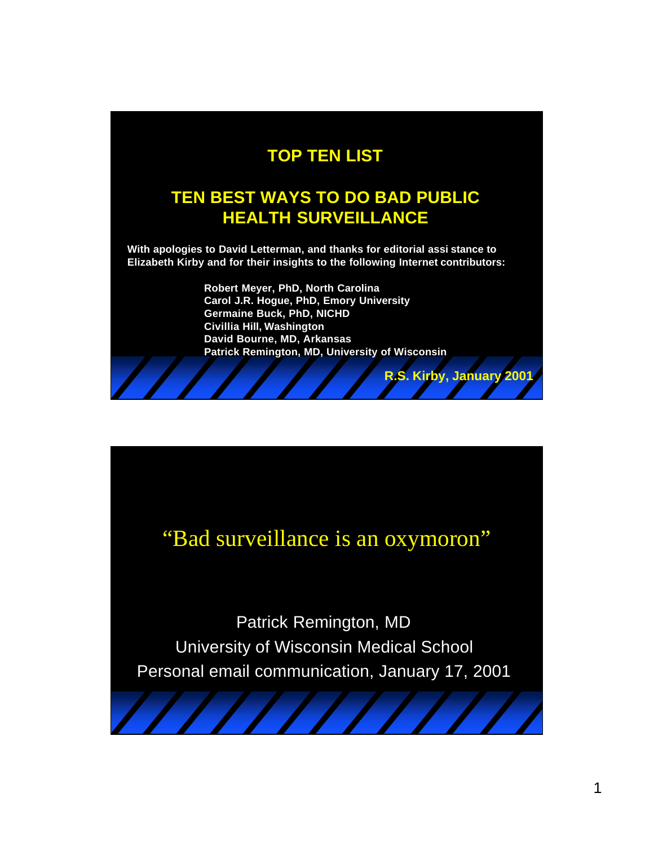#### **TOP TEN LIST**

#### **TEN BEST WAYS TO DO BAD PUBLIC HEALTH SURVEILLANCE**

**With apologies to David Letterman, and thanks for editorial assi stance to Elizabeth Kirby and for their insights to the following Internet contributors:** 

> **Robert Meyer, PhD, North Carolina Carol J.R. Hogue, PhD, Emory University Germaine Buck, PhD, NICHD Civillia Hill, Washington David Bourne, MD, Arkansas Patrick Remington, MD, University of Wisconsin**

> > **R.S. Kirby, January 2001**

# "Bad surveillance is an oxymoron"

Patrick Remington, MD University of Wisconsin Medical School Personal email communication, January 17, 2001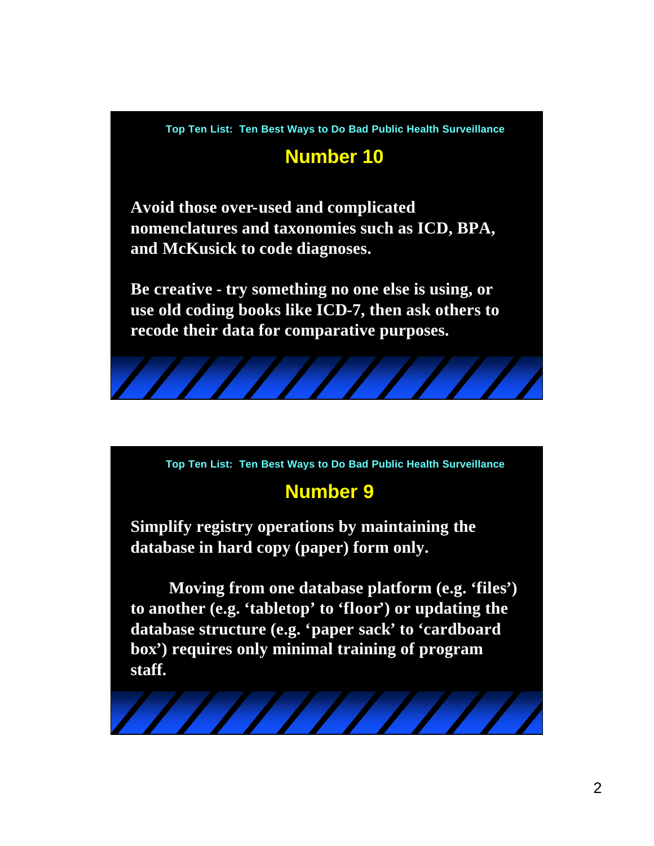**Top Ten List: Ten Best Ways to Do Bad Public Health Surveillance**

# **Number 10**

**Avoid those over-used and complicated nomenclatures and taxonomies such as ICD, BPA, and McKusick to code diagnoses.** 

**Be creative - try something no one else is using, or use old coding books like ICD-7, then ask others to recode their data for comparative purposes.**



#### **Number 9**

**Simplify registry operations by maintaining the database in hard copy (paper) form only.** 

**Moving from one database platform (e.g. 'files') to another (e.g. 'tabletop' to 'floor') or updating the database structure (e.g. 'paper sack' to 'cardboard box') requires only minimal training of program staff.**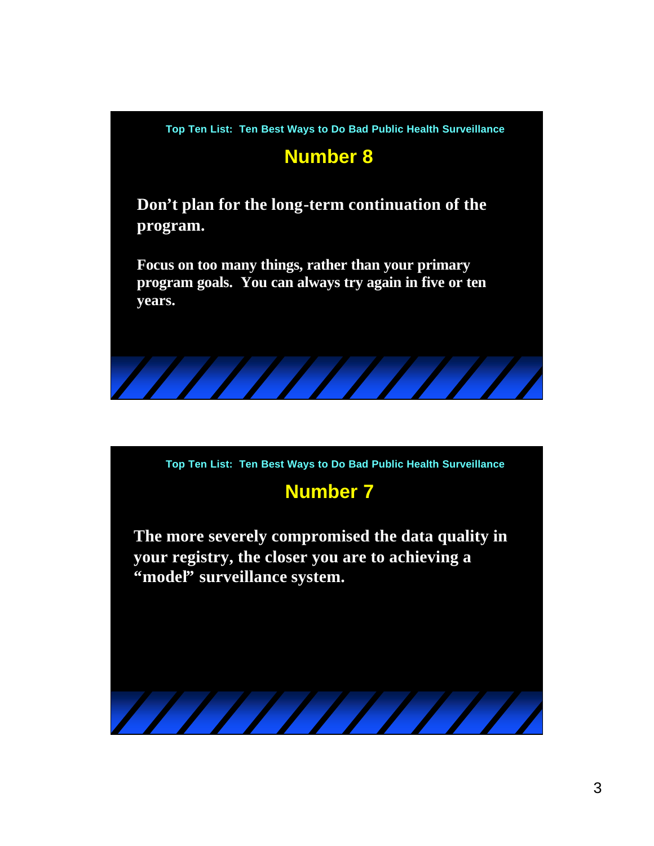

## **Number 8**

**Don't plan for the long-term continuation of the program.** 

**Focus on too many things, rather than your primary program goals. You can always try again in five or ten years.**



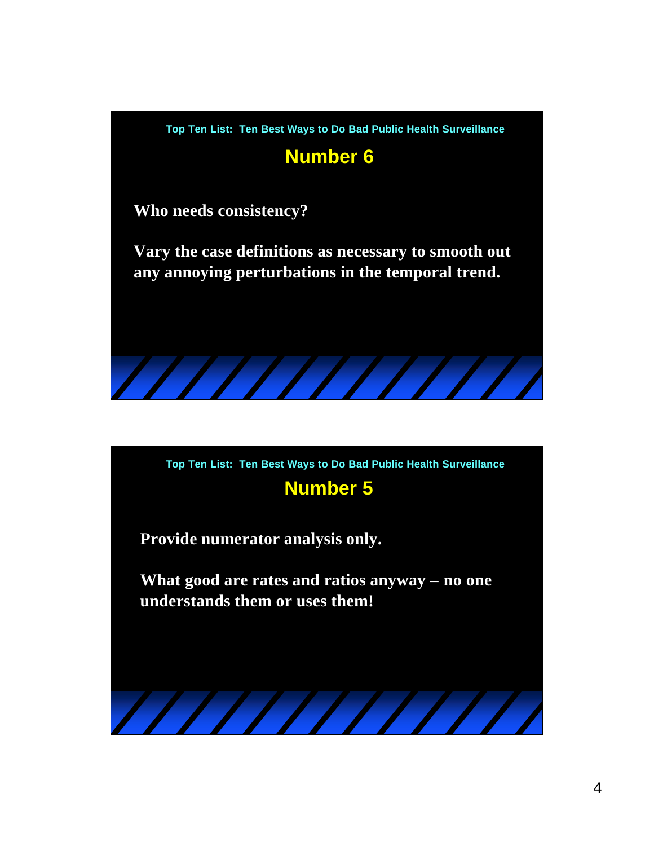

## **Number 6**

**Who needs consistency?**

**Vary the case definitions as necessary to smooth out any annoying perturbations in the temporal trend.**



**Provide numerator analysis only.** 

**What good are rates and ratios anyway – no one understands them or uses them!**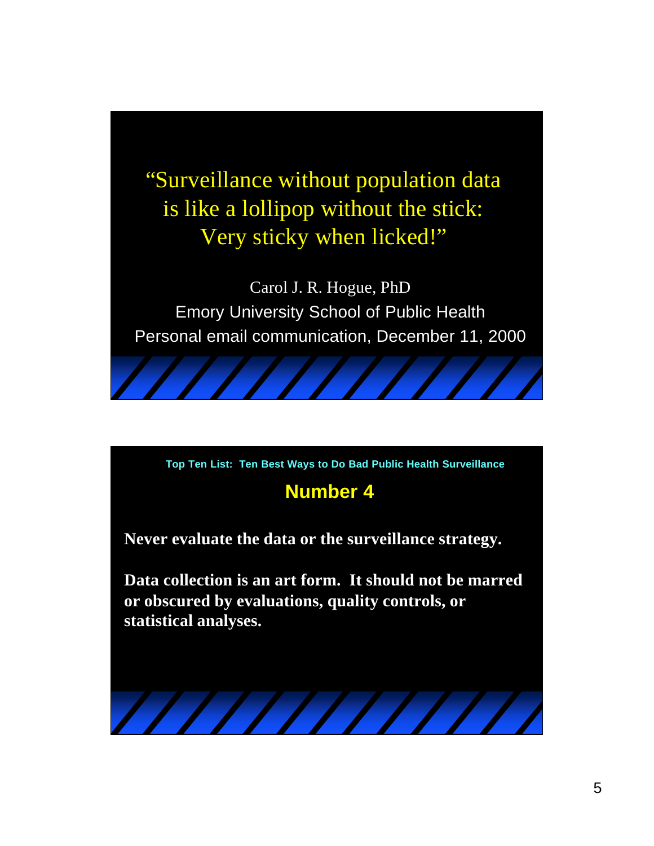"Surveillance without population data is like a lollipop without the stick: Very sticky when licked!"

Carol J. R. Hogue, PhD Emory University School of Public Health Personal email communication, December 11, 2000

**Top Ten List: Ten Best Ways to Do Bad Public Health Surveillance**

#### **Number 4**

**Never evaluate the data or the surveillance strategy.**

**Data collection is an art form. It should not be marred or obscured by evaluations, quality controls, or statistical analyses.**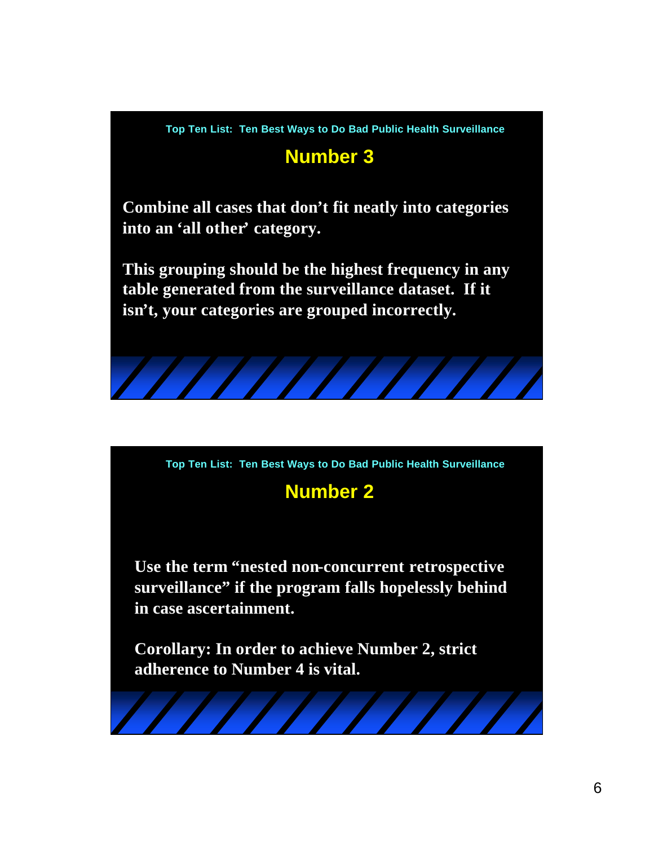**Top Ten List: Ten Best Ways to Do Bad Public Health Surveillance**

# **Number 3**

**Combine all cases that don't fit neatly into categories into an 'all other' category.** 

**This grouping should be the highest frequency in any table generated from the surveillance dataset. If it isn't, your categories are grouped incorrectly.**